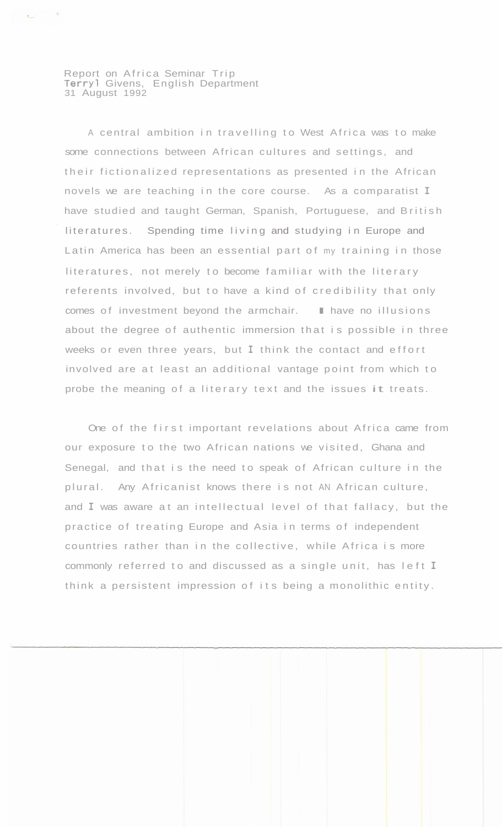Report on Africa Seminar Trip Terry1 Givens, English Department 31 August 1992

 $\mathbf{r}_{\mathbf{p}}$  ,  $\mathbf{r}_{\mathbf{p}}$  ,  $\mathbf{r}_{\mathbf{p}}$ 

A central ambition in travelling to West Africa was to make some connections between African cultures and settings, and their fictionalized representations as presented in the African novels we are teaching in the core course. As a comparatist **I**  have studied and taught German, Spanish, Portuguese, and British literatures. Spending time living and studying in Europe and Latin America has been an essential part of my training in those literatures, not merely to become familiar with the literary referents involved, but to have a kind of credibility that only comes of investment beyond the armchair. I have no illusions about the degree of authentic immersion that is possible in three weeks or even three years, but **I** think the contact and effort involved are at least an additional vantage point from which to probe the meaning of a literary text and the issues it treats.

One of the first important revelations about Africa came from our exposure to the two African nations we visited, Ghana and Senegal, and that is the need to speak of African culture in the plural. Any Africanist knows there is not AN African culture, and **I** was aware at an intellectual level of that fallacy, but the practice of treating Europe and Asia in terms of independent countries rather than in the collective, while Africa is more commonly referred to and discussed as a single unit, has left **I**  think a persistent impression of its being a monolithic entity.

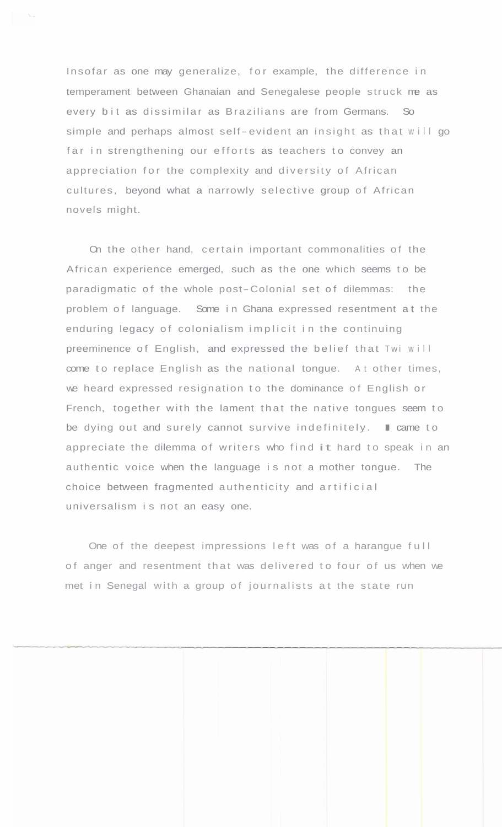Insofar as one may generalize, for example, the difference in temperament between Ghanaian and Senegalese people struck me as every bit as dissimilar as Brazilians are from Germans. So simple and perhaps almost self- evident an insight as that will go far in strengthening our efforts as teachers to convey an appreciation for the complexity and diversity of African cultures, beyond what a narrowly selective group of African novels might.

On the other hand, certain important commonalities of the African experience emerged, such as the one which seems to be paradigmatic of the whole post-Colonial set of dilemmas: the problem of language. Some in Ghana expressed resentment at the enduring legacy of colonialism implicit in the continuing preeminence of English, and expressed the belief that Twi will come to replace English as the national tongue. At other times, we heard expressed resignation to the dominance of English or French, together with the lament that the native tongues seem to<br>be dying out and surely cannot survive indefinitely. I came to appreciate the dilemma of writers who find it hard to speak in an authentic voice when the language is not a mother tongue. The choice between fragmented authenticity and artificial universalism is not an easy one.

One of the deepest impressions left was of a harangue full of anger and resentment that was delivered to four of us when we met in Senegal with a group of journalists at the state run

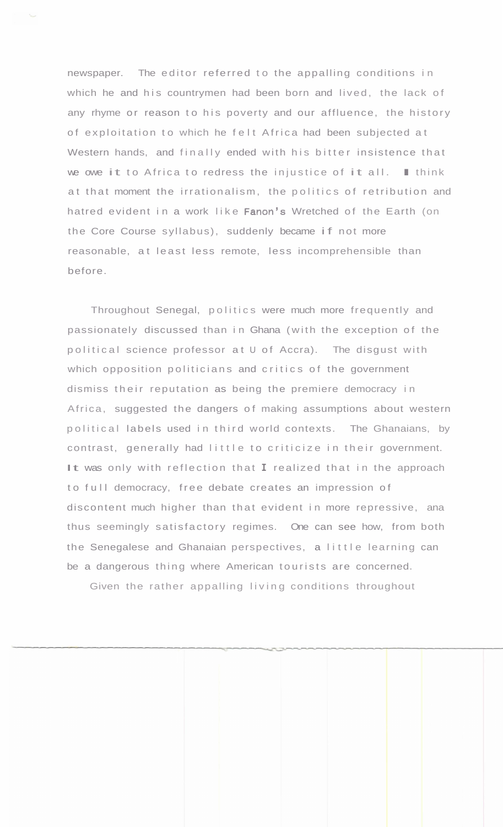newspaper. The editor referred to the appalling conditions in which he and his countrymen had been born and lived, the lack of any rhyme or reason to his poverty and our affluence, the history of exploitation to which he felt Africa had been subjected at Western hands, and finally ended with his bitter insistence that<br>we owe it to Africa to redress the injustice of it all. In think at that moment the irrationalism, the politics of retribution and hatred evident in a work like Fanon's Wretched of the Earth (on the Core Course syllabus), suddenly became if not more reasonable, at least less remote, less incomprehensible than before.

Throughout Senegal, politics were much more frequently and passionately discussed than in Ghana (with the exception of the political science professor at U of Accra). The disgust with which opposition politicians and critics of the government dismiss their reputation as being the premiere democracy in Africa, suggested the dangers of making assumptions about western political labels used in third world contexts. The Ghanaians, by contrast, generally had little to criticize in their government. It was only with reflection that **I** realized that in the approach to full democracy, free debate creates an impression of discontent much higher than that evident in more repressive, ana thus seemingly satisfactory regimes. One can see how, from both the Senegalese and Ghanaian perspectives, a little learning can be a dangerous thing where American tourists are concerned.

Given the rather appalling living conditions throughout

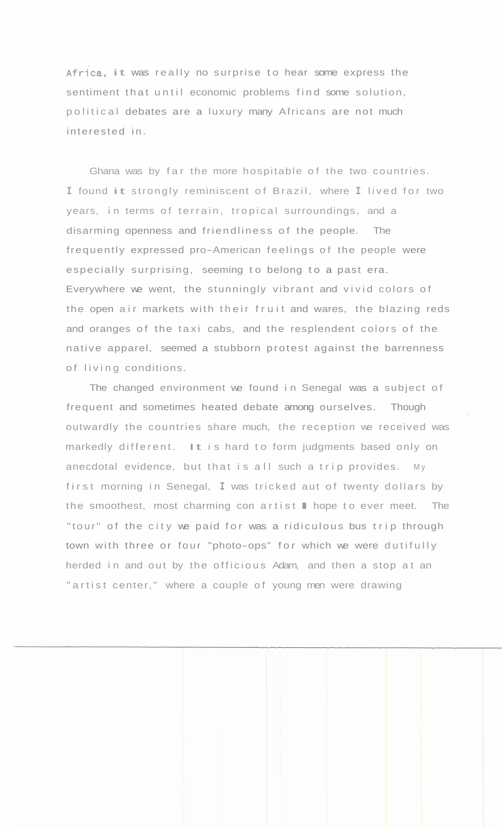Africa, it was really no surprise to hear some express the sentiment that until economic problems find some solution, political debates are a luxury many Africans are not much interested in.

Ghana was by far the more hospitable of the two countries. **<sup>I</sup>**found it strongly reminiscent of Brazil, where **I** lived for two years, in terms of terrain, tropical surroundings, and a disarming openness and friendliness of the people. The frequently expressed pro-American feelings of the people were especially surprising, seeming to belong to a past era. Everywhere we went, the stunningly vibrant and vivid colors of the open air markets with their fruit and wares, the blazing reds and oranges of the taxi cabs, and the resplendent colors of the native apparel, seemed a stubborn protest against the barrenness of living conditions.

The changed environment we found in Senegal was a subject of frequent and sometimes heated debate among ourselves. Though outwardly the countries share much, the reception we received was markedly different. It is hard to form judgments based only on anecdotal evidence, but that is all such a trip provides. My first morning in Senegal, **I** was tricked aut of twenty dollars by the smoothest, most charming con artist I hope to ever meet. The "tour" of the city we paid for was a ridiculous bus trip through town with three or four "photo-ops" for which we were dutifully herded in and out by the officious Adam, and then a stop at an " artist center," where a couple of young men were drawing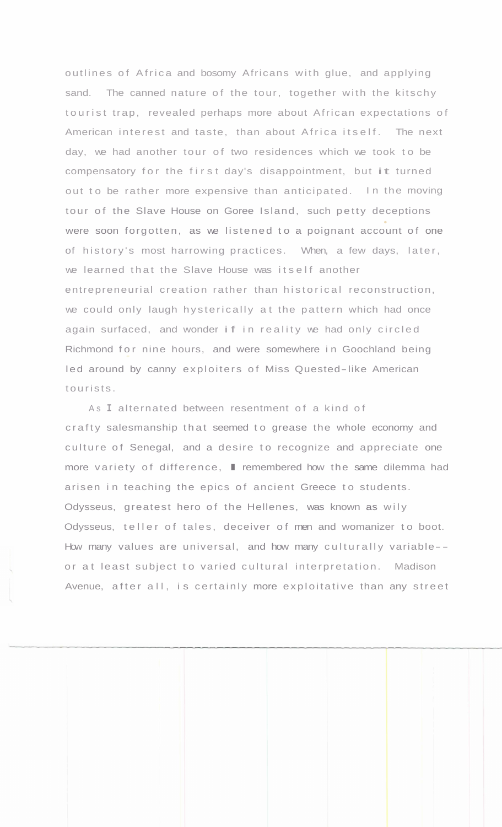outlines of Africa and bosomy Africans with glue, and applying sand. The canned nature of the tour, together with the kitschy tourist trap, revealed perhaps more about African expectations of American interest and taste, than about Africa itself. The next day, we had another tour of two residences which we took to be compensatory for the first day's disappointment, but it turned out to be rather more expensive than anticipated. In the moving tour of the Slave House on Goree Island, such petty deceptions were soon forgotten, as we listened to a poignant account of one of history's most harrowing practices. When, a few days, later, we learned that the Slave House was itself another entrepreneurial creation rather than historical reconstruction, we could only laugh hysterically at the pattern which had once again surfaced, and wonder if in reality we had only circled Richmond for nine hours, and were somewhere in Goochland being led around by canny exploiters of Miss Quested-like American tourists.

As **I** alternated between resentment of a kind of crafty salesmanship that seemed to grease the whole economy and culture of Senegal, and a desire to recognize and appreciate one more variety of difference, I remembered how the same dilemma had arisen in teaching the epics of ancient Greece to students. Odysseus, greatest hero of the Hellenes, was known as wily Odysseus, teller of tales, deceiver of men and womanizer to boot. How many values are universal, and how many culturally variable-or at least subject to varied cultural interpretation. Madison Avenue, after all, is certainly more exploitative than any street